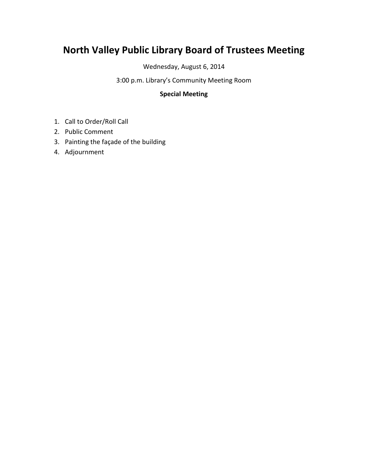# **North Valley Public Library Board of Trustees Meeting**

Wednesday, August 6, 2014

3:00 p.m. Library's Community Meeting Room

#### **Special Meeting**

- 1. Call to Order/Roll Call
- 2. Public Comment
- 3. Painting the façade of the building
- 4. Adjournment